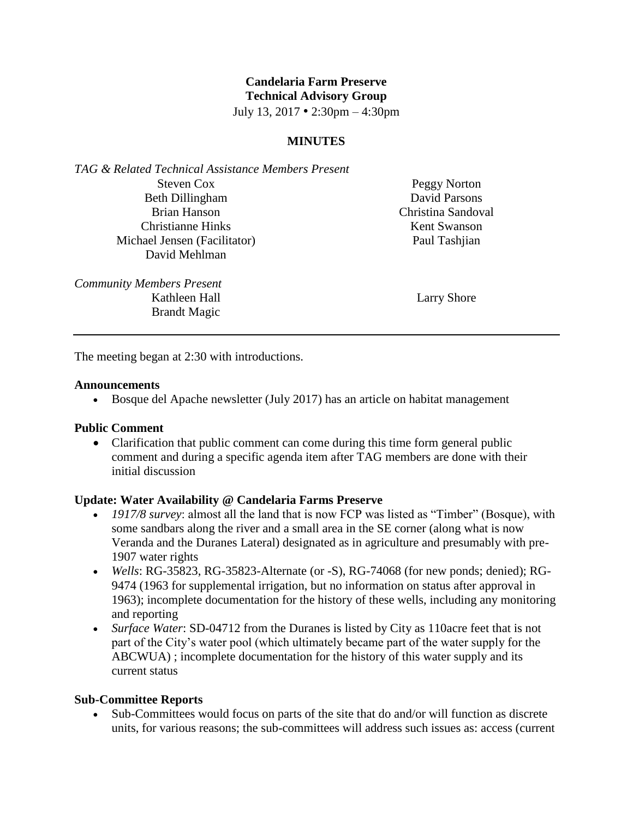# **Candelaria Farm Preserve Technical Advisory Group**

July 13, 2017 • 2:30pm – 4:30pm

# **MINUTES**

*TAG & Related Technical Assistance Members Present* Steven Cox Beth Dillingham Brian Hanson Christianne Hinks Michael Jensen (Facilitator) David Mehlman

Peggy Norton David Parsons Christina Sandoval Kent Swanson Paul Tashjian

*Community Members Present* Kathleen Hall Brandt Magic

Larry Shore

The meeting began at 2:30 with introductions.

#### **Announcements**

Bosque del Apache newsletter (July 2017) has an article on habitat management

### **Public Comment**

• Clarification that public comment can come during this time form general public comment and during a specific agenda item after TAG members are done with their initial discussion

### **Update: Water Availability @ Candelaria Farms Preserve**

- *1917/8 survey*: almost all the land that is now FCP was listed as "Timber" (Bosque), with some sandbars along the river and a small area in the SE corner (along what is now Veranda and the Duranes Lateral) designated as in agriculture and presumably with pre-1907 water rights
- *Wells*: RG-35823, RG-35823-Alternate (or -S), RG-74068 (for new ponds; denied); RG-9474 (1963 for supplemental irrigation, but no information on status after approval in 1963); incomplete documentation for the history of these wells, including any monitoring and reporting
- *Surface Water*: SD-04712 from the Duranes is listed by City as 110acre feet that is not part of the City's water pool (which ultimately became part of the water supply for the ABCWUA) ; incomplete documentation for the history of this water supply and its current status

### **Sub-Committee Reports**

 Sub-Committees would focus on parts of the site that do and/or will function as discrete units, for various reasons; the sub-committees will address such issues as: access (current